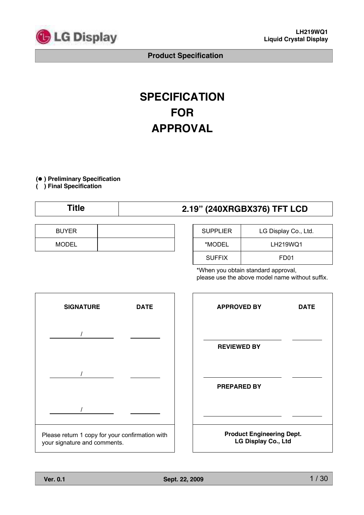

# **SPECIFICATION FOR APPROVAL**

**( ) Preliminary Specification**

**( ) Final Specification**

| 2.19" (240XRGBX376) TFT LCD |
|-----------------------------|
|-----------------------------|

| <b>BUYER</b> |  |
|--------------|--|
| <b>MODEL</b> |  |

| <b>SUPPLIER</b> | LG Display Co., Ltd. |
|-----------------|----------------------|
| *MODEL          | LH219WQ1             |
| <b>SUFFIX</b>   | FD <sub>01</sub>     |

\*When you obtain standard approval, please use the above model name without suffix.



| <b>APPROVED BY</b>                                      | <b>DATE</b> |  |  |  |  |  |
|---------------------------------------------------------|-------------|--|--|--|--|--|
| <b>REVIEWED BY</b>                                      |             |  |  |  |  |  |
|                                                         |             |  |  |  |  |  |
| <b>PREPARED BY</b>                                      |             |  |  |  |  |  |
| <b>Product Engineering Dept.</b><br>LG Display Co., Ltd |             |  |  |  |  |  |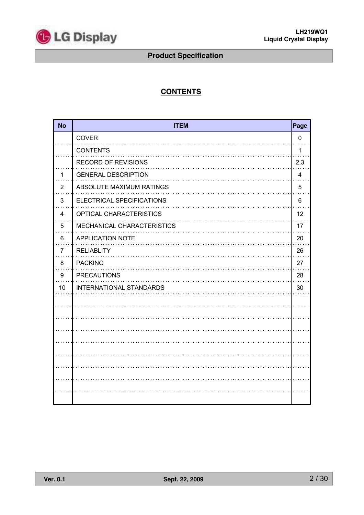

# **CONTENTS**

| <b>No</b>      | <b>ITEM</b>                    | Page           |
|----------------|--------------------------------|----------------|
|                | COVER                          | 0              |
|                | <b>CONTENTS</b>                | 1              |
|                | <b>RECORD OF REVISIONS</b>     | 2,3            |
| 1              | <b>GENERAL DESCRIPTION</b>     | $\overline{4}$ |
| $\overline{2}$ | ABSOLUTE MAXIMUM RATINGS       | 5              |
| 3              | ELECTRICAL SPECIFICATIONS      | 6              |
| 4              | OPTICAL CHARACTERISTICS        | 12             |
| 5              | MECHANICAL CHARACTERISTICS     | 17             |
| 6              | <b>APPLICATION NOTE</b>        | 20             |
| $\overline{7}$ | <b>RELIABLITY</b>              | 26             |
| 8              | <b>PACKING</b>                 | 27             |
| 9              | <b>PRECAUTIONS</b>             | 28             |
| 10             | <b>INTERNATIONAL STANDARDS</b> | 30             |
|                |                                |                |
|                |                                |                |
|                |                                |                |
|                |                                |                |
|                |                                |                |
|                |                                |                |
|                |                                |                |
|                |                                |                |
|                |                                |                |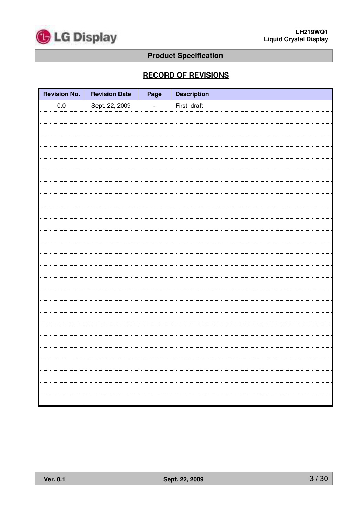

# **RECORD OF REVISIONS**

| <b>Revision No.</b> | <b>Revision Date</b> | Page | <b>Description</b> |
|---------------------|----------------------|------|--------------------|
| $0.0\,$             | Sept. 22, 2009       |      | First draft        |
|                     |                      |      |                    |
|                     |                      |      |                    |
|                     |                      |      |                    |
|                     |                      |      |                    |
|                     |                      |      |                    |
|                     |                      |      |                    |
|                     |                      |      |                    |
|                     |                      |      |                    |
|                     |                      |      |                    |
|                     |                      |      |                    |
|                     |                      |      |                    |
|                     |                      |      |                    |
|                     |                      |      |                    |
|                     |                      |      |                    |
|                     |                      |      |                    |
|                     |                      |      |                    |
|                     |                      |      |                    |
|                     |                      |      |                    |
|                     |                      |      |                    |
|                     |                      |      |                    |
|                     |                      |      |                    |
|                     |                      |      |                    |
|                     |                      |      |                    |
|                     |                      |      |                    |
|                     |                      |      |                    |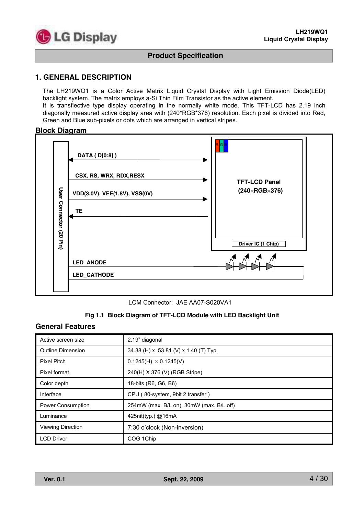

### **1. GENERAL DESCRIPTION**

The LH219WQ1 is a Color Active Matrix Liquid Crystal Display with Light Emission Diode(LED) backlight system. The matrix employs a-Si Thin Film Transistor as the active element.

It is transflective type display operating in the normally white mode. This TFT-LCD has 2.19 inch diagonally measured active display area with (240\*RGB\*376) resolution. Each pixel is divided into Red, Green and Blue sub-pixels or dots which are arranged in vertical stripes.

#### **Block Diagram**



LCM Connector: JAE AA07-S020VA1

#### **Fig 1.1 Block Diagram of TFT-LCD Module with LED Backlight Unit**

### **General Features**

| Active screen size       | 2.19" diagonal                           |
|--------------------------|------------------------------------------|
| <b>Outline Dimension</b> | 34.38 (H) x 53.81 (V) x 1.40 (T) Typ.    |
| Pixel Pitch              | $0.1245(H) \times 0.1245(V)$             |
| Pixel format             | 240(H) X 376 (V) (RGB Stripe)            |
| Color depth              | 18-bits (R6, G6, B6)                     |
| Interface                | CPU (80-system, 9bit 2 transfer)         |
| <b>Power Consumption</b> | 254mW (max. B/L on), 30mW (max. B/L off) |
| Luminance                | 425nit(typ.) @16mA                       |
| <b>Viewing Direction</b> | 7:30 o'clock (Non-inversion)             |
| <b>LCD Driver</b>        | COG 1Chip                                |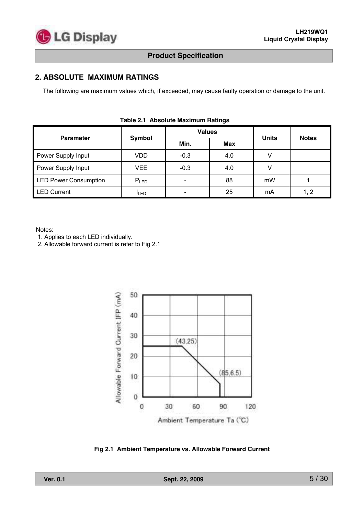

# **2. ABSOLUTE MAXIMUM RATINGS**

The following are maximum values which, if exceeded, may cause faulty operation or damage to the unit.

|                              |                  | <b>Values</b> |     |              |              |  |  |  |  |  |  |  |
|------------------------------|------------------|---------------|-----|--------------|--------------|--|--|--|--|--|--|--|
| <b>Parameter</b>             | Symbol           | Min.          | Max | <b>Units</b> | <b>Notes</b> |  |  |  |  |  |  |  |
| Power Supply Input           | <b>VDD</b>       | $-0.3$        | 4.0 |              |              |  |  |  |  |  |  |  |
| Power Supply Input           | <b>VEE</b>       | $-0.3$        | 4.0 |              |              |  |  |  |  |  |  |  |
| <b>LED Power Consumption</b> | $P_{LED}$        |               | 88  | mW           |              |  |  |  |  |  |  |  |
| <b>LED Current</b>           | <sup>I</sup> LED |               | 25  | mA           |              |  |  |  |  |  |  |  |

#### **Table 2.1 Absolute Maximum Ratings**

Notes:

1. Applies to each LED individually.

2. Allowable forward current is refer to Fig 2.1



**Fig 2.1 Ambient Temperature vs. Allowable Forward Current**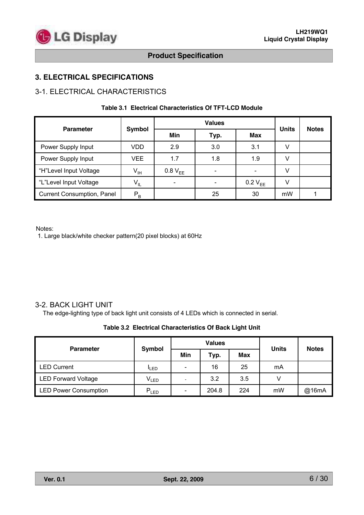# **3. ELECTRICAL SPECIFICATIONS**

# 3-1. ELECTRICAL CHARACTERISTICS

#### **Table 3.1 Electrical Characteristics Of TFT-LCD Module**

|                                   |                 |                     | <b>Values</b> |              | <b>Notes</b> |  |
|-----------------------------------|-----------------|---------------------|---------------|--------------|--------------|--|
| <b>Parameter</b>                  | <b>Symbol</b>   | Min                 | Typ.          | Max          | <b>Units</b> |  |
| Power Supply Input                | VDD             | 2.9                 | 3.0           | 3.1          | V            |  |
| Power Supply Input<br>VEE         |                 | 1.7                 | 1.8           | 1.9          | V            |  |
| "H"Level Input Voltage            | V <sub>IH</sub> | 0.8 V <sub>FF</sub> | -             |              | V            |  |
| "L"Level Input Voltage            | $V_{IL}$        |                     |               | $0.2 V_{EE}$ | V            |  |
| <b>Current Consumption, Panel</b> | $P_B$           |                     | 25            | 30           | mW           |  |

Notes:

1. Large black/white checker pattern(20 pixel blocks) at 60Hz

## 3-2. BACK LIGHT UNIT

The edge-lighting type of back light unit consists of 4 LEDs which is connected in serial.

#### **Table 3.2 Electrical Characteristics Of Back Light Unit**

| <b>Parameter</b>             |                  |                              | <b>Values</b> | <b>Units</b> | <b>Notes</b> |       |  |
|------------------------------|------------------|------------------------------|---------------|--------------|--------------|-------|--|
|                              | Symbol           | Min                          | Typ.          | Max          |              |       |  |
| <b>LED Current</b>           | <sup>I</sup> LED | $\qquad \qquad \blacksquare$ | 16            | 25           | mA           |       |  |
| <b>LED Forward Voltage</b>   | $V_{LED}$        |                              | 3.2           | 3.5          |              |       |  |
| <b>LED Power Consumption</b> | $P_{LED}$        | $\qquad \qquad \blacksquare$ | 204.8         | 224          | mW           | @16mA |  |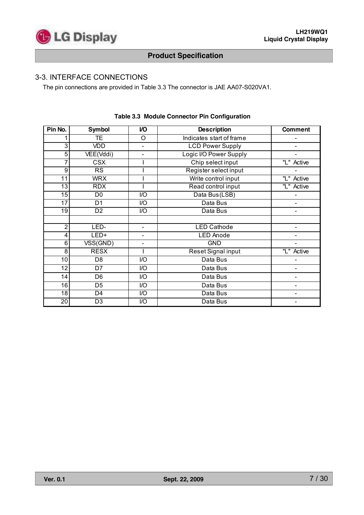# 3-3. INTERFACE CONNECTIONS

The pin connections are provided in Table 3.3 The connector is JAE AA07-S020VA1.

| Pin No.         | <b>Symbol</b>           | V <sub>O</sub>           | <b>Description</b>       | <b>Comment</b>               |
|-----------------|-------------------------|--------------------------|--------------------------|------------------------------|
|                 | TE.                     | O                        | Indicates start of frame |                              |
| 3               | VDD                     | $\blacksquare$           | <b>LCD Power Supply</b>  |                              |
| 5               | VEE(Vddi)               |                          | Logic I/O Power Supply   |                              |
| 7               | $\overline{\text{CSX}}$ |                          | Chip select input        | "L" Active                   |
| 9               | RS                      |                          | Register select input    |                              |
| 11              | <b>WRX</b>              |                          | Write control input      | "L" Active                   |
| 13              | <b>RDX</b>              |                          | Read control input       | "L" Active                   |
| $\overline{15}$ | D <sub>0</sub>          | $\overline{1/O}$         | Data Bus(LSB)            |                              |
| 17              | D <sub>1</sub>          | I/O                      | Data Bus                 |                              |
| 19              | D <sub>2</sub>          | I/O                      | Data Bus                 |                              |
|                 |                         |                          |                          |                              |
| $\overline{2}$  | LED-                    | $\blacksquare$           | <b>LED Cathode</b>       |                              |
| 4               | LED+                    |                          | <b>LED Anode</b>         |                              |
| 6               | VSS(GND)                | $\overline{\phantom{a}}$ | <b>GND</b>               | $\overline{a}$               |
| $\overline{8}$  | <b>RESX</b>             |                          | Reset Signal input       | "L" Active                   |
| 10              | D <sub>8</sub>          | I/O                      | Data Bus                 |                              |
| 12              | D7                      | I/O                      | Data Bus                 | $\overline{a}$               |
| 14              | D <sub>6</sub>          | I/O                      | Data Bus                 |                              |
| $\overline{16}$ | D <sub>5</sub>          | I/O                      | Data Bus                 |                              |
| 18              | D <sub>4</sub>          | I/O                      | Data Bus                 |                              |
| $\overline{20}$ | D <sub>3</sub>          | I/O                      | Data Bus                 | $\qquad \qquad \blacksquare$ |

#### **Table 3.3 Module Connector Pin Configuration**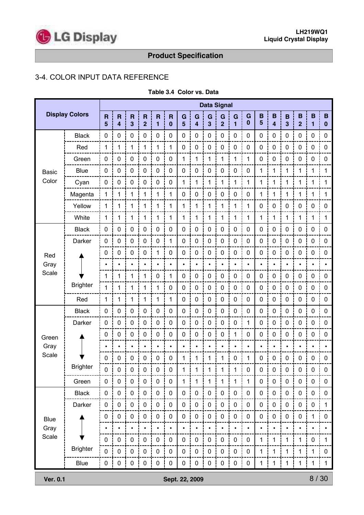

# 3-4. COLOR INPUT DATA REFERENCE

|              |                       |                              | <b>Data Signal</b>                                 |                              |                                           |                              |                                     |                     |             |                              |                     |                     |               |                     |                              |                              |                     |                  |               |
|--------------|-----------------------|------------------------------|----------------------------------------------------|------------------------------|-------------------------------------------|------------------------------|-------------------------------------|---------------------|-------------|------------------------------|---------------------|---------------------|---------------|---------------------|------------------------------|------------------------------|---------------------|------------------|---------------|
|              | <b>Display Colors</b> | $\overline{\mathsf{R}}$<br>5 | $\overline{\mathsf{R}}$<br>$\overline{\mathbf{4}}$ | $\overline{\mathsf{R}}$<br>3 | $\overline{\mathsf{R}}$<br>$\overline{2}$ | $\overline{\mathsf{R}}$<br>1 | $\overline{\mathsf{R}}$<br>$\bf{0}$ | G<br>$5\phantom{1}$ | G<br>4      | G<br>$\overline{\mathbf{3}}$ | G<br>$\overline{2}$ | G<br>$\overline{1}$ | G<br>$\bf{0}$ | B<br>$5\phantom{1}$ | B<br>$\overline{\mathbf{4}}$ | B<br>$\overline{\mathbf{3}}$ | B<br>$\overline{2}$ | $\mathbf B$<br>1 | B<br>$\bf{0}$ |
|              | <b>Black</b>          | $\pmb{0}$                    | 0                                                  | $\pmb{0}$                    | $\pmb{0}$                                 | $\pmb{0}$                    | $\pmb{0}$                           | $\pmb{0}$           | $\pmb{0}$   | $\mathsf{O}\xspace$          | $\pmb{0}$           | $\mathbf 0$         | $\pmb{0}$     | 0                   | $\pmb{0}$                    | $\pmb{0}$                    | $\pmb{0}$           | $\pmb{0}$        | $\pmb{0}$     |
|              | Red                   | $\mathbf{1}$                 | 1                                                  | 1                            | 1                                         | 1                            | 1                                   | $\pmb{0}$           | $\pmb{0}$   | $\pmb{0}$                    | 0                   | $\mathbf 0$         | $\pmb{0}$     | $\pmb{0}$           | 0                            | $\pmb{0}$                    | $\pmb{0}$           | $\pmb{0}$        | $\pmb{0}$     |
|              | Green                 | $\pmb{0}$                    | 0                                                  | $\pmb{0}$                    | $\pmb{0}$                                 | $\pmb{0}$                    | $\pmb{0}$                           | 1                   | 1           | 1                            | 1                   | 1                   | 1             | $\pmb{0}$           | $\pmb{0}$                    | $\pmb{0}$                    | $\pmb{0}$           | $\pmb{0}$        | $\pmb{0}$     |
| <b>Basic</b> | <b>Blue</b>           | $\pmb{0}$                    | 0                                                  | $\boldsymbol{0}$             | 0                                         | $\pmb{0}$                    | $\pmb{0}$                           | $\mathbf 0$         | $\pmb{0}$   | $\pmb{0}$                    | 0                   | $\pmb{0}$           | $\pmb{0}$     | 1                   | $\mathbf 1$                  | 1                            | 1                   | 1                | 1             |
| Color        | Cyan                  | $\pmb{0}$                    | 0                                                  | $\mathbf 0$                  | $\pmb{0}$                                 | $\pmb{0}$                    | 0                                   | $\mathbf 1$         | 1           | 1                            | 1                   | 1                   | 1             | 1                   | 1                            | 1                            | 1                   | $\mathbf{1}$     | 1             |
|              | Magenta               | 1                            | 1                                                  | 1                            | 1                                         | 1                            | 1                                   | $\pmb{0}$           | 0           | $\pmb{0}$                    | $\pmb{0}$           | $\mathbf 0$         | $\pmb{0}$     | 1                   | 1                            | 1                            | 1                   | 1                | 1             |
|              | Yellow                | 1                            | 1                                                  | 1                            | 1                                         | 1                            | 1                                   | 1                   | 1           | 1                            | 1                   | $\mathbf 1$         | 1             | 0                   | $\mathbf 0$                  | $\pmb{0}$                    | $\pmb{0}$           | $\pmb{0}$        | $\mathbf 0$   |
|              | White                 | $\mathbf{1}$                 | 1                                                  | 1                            | 1                                         | 1                            | 1                                   | 1                   | 1           | 1                            | 1                   | 1                   | 1             | 1                   | 1                            | 1                            | 1                   | 1                | 1             |
|              | <b>Black</b>          | $\pmb{0}$                    | 0                                                  | $\mathbf 0$                  | $\pmb{0}$                                 | $\pmb{0}$                    | 0                                   | $\pmb{0}$           | $\pmb{0}$   | $\pmb{0}$                    | 0                   | $\pmb{0}$           | $\pmb{0}$     | $\pmb{0}$           | $\mathsf{O}\xspace$          | $\pmb{0}$                    | $\boldsymbol{0}$    | $\pmb{0}$        | $\pmb{0}$     |
|              | Darker                | $\pmb{0}$                    | $\pmb{0}$                                          | $\mathbf 0$                  | $\pmb{0}$                                 | $\pmb{0}$                    | $\mathbf 1$                         | $\pmb{0}$           | $\pmb{0}$   | $\pmb{0}$                    | $\pmb{0}$           | $\pmb{0}$           | $\pmb{0}$     | 0                   | $\pmb{0}$                    | $\pmb{0}$                    | $\boldsymbol{0}$    | $\pmb{0}$        | $\pmb{0}$     |
| Red          |                       | $\pmb{0}$                    | 0                                                  | $\mathbf 0$                  | $\pmb{0}$                                 | 1                            | 0                                   | $\pmb{0}$           | $\pmb{0}$   | $\pmb{0}$                    | $\pmb{0}$           | $\pmb{0}$           | $\pmb{0}$     | 0                   | $\pmb{0}$                    | $\pmb{0}$                    | $\pmb{0}$           | $\pmb{0}$        | $\pmb{0}$     |
| Gray         |                       | $\bullet$                    |                                                    | $\bullet$                    |                                           |                              | $\bullet$                           | $\bullet$           |             | $\bullet$                    |                     | $\bullet$           | $\bullet$     |                     | $\bullet$                    | $\bullet$                    |                     |                  | $\bullet$     |
| Scale        |                       | 1                            | 1                                                  | 1                            | 1                                         | $\pmb{0}$                    | 1                                   | 0                   | $\pmb{0}$   | $\pmb{0}$                    | 0                   | $\pmb{0}$           | $\pmb{0}$     | $\pmb{0}$           | $\pmb{0}$                    | $\pmb{0}$                    | $\mathbf 0$         | $\pmb{0}$        | $\pmb{0}$     |
|              | <b>Brighter</b>       | $\mathbf 1$                  | 1                                                  | 1                            | 1                                         | 1                            | 0                                   | $\pmb{0}$           | $\pmb{0}$   | $\pmb{0}$                    | $\pmb{0}$           | $\pmb{0}$           | $\pmb{0}$     | 0                   | $\pmb{0}$                    | $\pmb{0}$                    | $\boldsymbol{0}$    | $\pmb{0}$        | $\pmb{0}$     |
|              | Red                   | 1                            | 1                                                  | 1                            | 1                                         | 1                            | $\mathbf{1}$                        | $\pmb{0}$           | $\pmb{0}$   | $\pmb{0}$                    | $\pmb{0}$           | $\pmb{0}$           | $\pmb{0}$     | $\pmb{0}$           | $\pmb{0}$                    | $\pmb{0}$                    | $\pmb{0}$           | $\pmb{0}$        | $\pmb{0}$     |
|              | <b>Black</b>          | $\pmb{0}$                    | 0                                                  | $\pmb{0}$                    | $\pmb{0}$                                 | $\pmb{0}$                    | $\pmb{0}$                           | 0                   | $\pmb{0}$   | $\pmb{0}$                    | $\pmb{0}$           | $\pmb{0}$           | $\mathbf 0$   | 0                   | $\pmb{0}$                    | $\pmb{0}$                    | $\mathbf 0$         | $\pmb{0}$        | $\pmb{0}$     |
|              | Darker                | $\pmb{0}$                    | 0                                                  | $\pmb{0}$                    | $\pmb{0}$                                 | 0                            | $\pmb{0}$                           | $\pmb{0}$           | $\mathbf 0$ | $\pmb{0}$                    | $\pmb{0}$           | $\pmb{0}$           | 1             | $\pmb{0}$           | $\mathsf{O}\xspace$          | $\pmb{0}$                    | $\pmb{0}$           | $\pmb{0}$        | $\pmb{0}$     |
| Green        |                       | $\pmb{0}$                    | 0                                                  | $\mathbf 0$                  | $\pmb{0}$                                 | $\mathbf 0$                  | $\mathbf 0$                         | $\pmb{0}$           | $\pmb{0}$   | $\pmb{0}$                    | $\pmb{0}$           | 1                   | $\pmb{0}$     | 0                   | $\pmb{0}$                    | $\pmb{0}$                    | $\pmb{0}$           | $\pmb{0}$        | $\pmb{0}$     |
| Gray         |                       |                              |                                                    | $\bullet$                    |                                           |                              | $\bullet$                           | $\bullet$           |             |                              |                     | $\bullet$           | $\bullet$     |                     | $\bullet$                    |                              |                     | $\bullet$        |               |
| Scale        |                       | $\pmb{0}$                    | $\pmb{0}$                                          | $\boldsymbol{0}$             | $\pmb{0}$                                 | $\pmb{0}$                    | $\pmb{0}$                           | 1                   | 1           | 1                            | 1                   | $\boldsymbol{0}$    | 1             | $\pmb{0}$           | $\pmb{0}$                    | $\pmb{0}$                    | 0                   | $\pmb{0}$        | $\mathbf 0$   |
|              | <b>Brighter</b>       | $\mathbf 0$                  | $\mathbf 0$                                        | $\mathbf 0$                  | $\mathbf 0$                               | $\mathbf 0$                  | $\mathbf 0$                         | 1                   | 1           | $\mathbf{1}$                 | $\mathbf{1}$        | 1                   | 0             | 0                   | 0                            | $\mathbf 0$                  | $\mathbf 0$         | $\mathbf 0$      | $\mathbf 0$   |
|              | Green                 | $\pmb{0}$                    | $\pmb{0}$                                          | $\pmb{0}$                    | $\pmb{0}$                                 | $\pmb{0}$                    | $\pmb{0}$                           | 1                   | 1           | $\mathbf 1$                  | 1                   | 1                   | $\mathbf{1}$  | $\pmb{0}$           | $\pmb{0}$                    | $\pmb{0}$                    | $\pmb{0}$           | $\pmb{0}$        | 0             |
|              | <b>Black</b>          | $\pmb{0}$                    | $\pmb{0}$                                          | $\pmb{0}$                    | $\pmb{0}$                                 | $\pmb{0}$                    | $\pmb{0}$                           | $\pmb{0}$           | $\pmb{0}$   | $\pmb{0}$                    | $\pmb{0}$           | $\pmb{0}$           | $\pmb{0}$     | $\pmb{0}$           | $\pmb{0}$                    | $\pmb{0}$                    | $\pmb{0}$           | $\pmb{0}$        | $\pmb{0}$     |
|              | Darker                | $\pmb{0}$                    | $\pmb{0}$                                          | $\pmb{0}$                    | $\pmb{0}$                                 | $\pmb{0}$                    | $\pmb{0}$                           | $\pmb{0}$           | $\pmb{0}$   | $\pmb{0}$                    | $\pmb{0}$           | $\pmb{0}$           | $\pmb{0}$     | $\pmb{0}$           | $\pmb{0}$                    | $\pmb{0}$                    | $\pmb{0}$           | $\pmb{0}$        | 1             |
| <b>Blue</b>  |                       | 0                            | $\pmb{0}$                                          | $\pmb{0}$                    | $\pmb{0}$                                 | $\pmb{0}$                    | $\pmb{0}$                           | $\pmb{0}$           | $\pmb{0}$   | $\pmb{0}$                    | $\pmb{0}$           | $\pmb{0}$           | $\pmb{0}$     | $\pmb{0}$           | $\pmb{0}$                    | $\pmb{0}$                    | $\pmb{0}$           | $\mathbf{1}$     | 0             |
| Gray         |                       | $\bullet$                    |                                                    | $\bullet$                    |                                           | $\bullet$                    | $\bullet$                           | $\bullet$           |             | $\bullet$                    |                     | $\bullet$           | $\bullet$     | $\bullet$           | $\bullet$                    | $\bullet$                    |                     | $\bullet$        |               |
| Scale        |                       | $\mathbf 0$                  | $\pmb{0}$                                          | $\pmb{0}$                    | $\pmb{0}$                                 | $\pmb{0}$                    | 0                                   | $\pmb{0}$           | $\pmb{0}$   | $\pmb{0}$                    | $\pmb{0}$           | $\pmb{0}$           | $\pmb{0}$     | 1                   | $\mathbf 1$                  | 1                            | 1                   | $\pmb{0}$        | 1             |
|              | <b>Brighter</b>       | 0                            | 0                                                  | $\pmb{0}$                    | $\pmb{0}$                                 | 0                            | $\pmb{0}$                           | 0                   | $\pmb{0}$   | $\pmb{0}$                    | $\pmb{0}$           | $\pmb{0}$           | $\pmb{0}$     | 1                   | 1                            | 1                            | 1                   | $\mathbf{1}$     | 0             |
|              | Blue                  | $\mathbf 0$                  | $\pmb{0}$                                          | $\pmb{0}$                    | $\pmb{0}$                                 | $\pmb{0}$                    | $\pmb{0}$                           | $\pmb{0}$           | $\pmb{0}$   | $\mathbf 0$                  | $\pmb{0}$<br>Ť      | $\pmb{0}$<br>Ţ      | $\pmb{0}$     | $\mathbf{1}$        | $\mathbf{1}$                 | $\mathbf 1$                  | $\mathbf 1$         | $\mathbf 1$      | $\mathbf{1}$  |

**Table 3.4 Color vs. Data**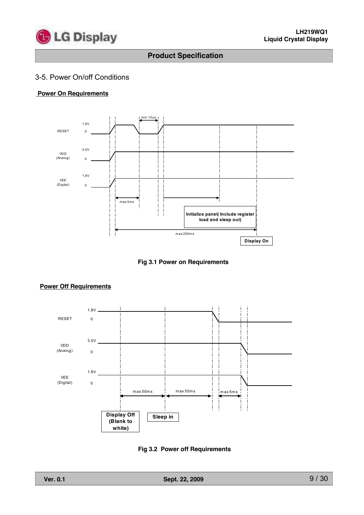

### 3-5. Power On/off Conditions

#### **Power On Requirements**



**Fig 3.1 Power on Requirements**



# **Power Off Requirements**

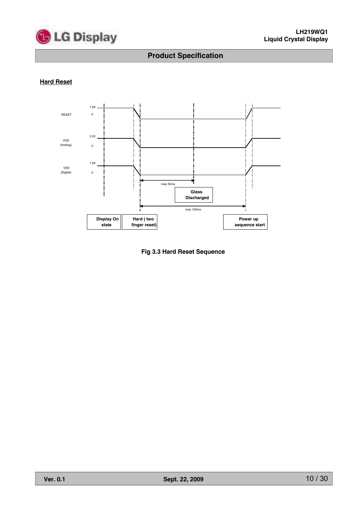

#### **Hard Reset**



**Fig 3.3 Hard Reset Sequence**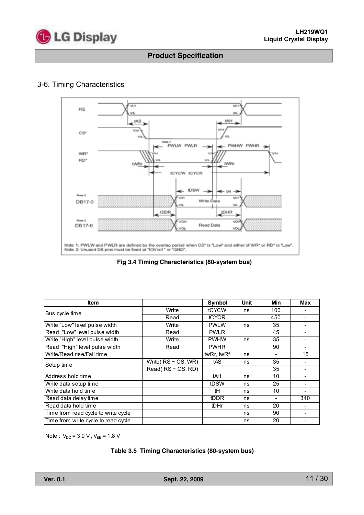

# 3-6. Timing Characteristics



**Fig 3.4 Timing Characteristics (80-system bus)**

| <b>Item</b>                         |                           | Symbol       | <b>Unit</b> | Min | Max |
|-------------------------------------|---------------------------|--------------|-------------|-----|-----|
| Bus cycle time                      | Write                     | tCYCW        | ns          | 100 |     |
|                                     | Read                      | <b>tCYCR</b> |             | 450 |     |
| Write "Low" level pulse width       | Write                     | <b>PWLW</b>  | ns          | 35  |     |
| Read "Low" level pulse width        | Read                      | <b>PWLR</b>  |             | 45  |     |
| Write "High" level pulse width      | Write                     | <b>PWHW</b>  | ns          | 35  |     |
| Read "High" level pulse width       | Read                      | <b>PWHR</b>  |             | 90  |     |
| Write/Read rise/Fall time           |                           | twRr, twRf   | ns          |     | 15  |
| Setup time                          | Write( $RS \sim CS$ , WR) | tAS          | ns          | 35  |     |
|                                     | Read(RS~CS, RD)           |              |             | 35  |     |
| Address hold time                   |                           | tAH          | ns          | 10  |     |
| Write data setup time               |                           | tDSW         | ns          | 25  |     |
| Write data hold time                |                           | tH           | ns          | 10  |     |
| Read data delay time                |                           | tDDR         | ns          |     | 340 |
| Read data hold time                 |                           | tDHr         | ns          | 20  |     |
| Time from read cycle to write cycle |                           |              | ns          | 90  |     |
| Time from write cycle to read cycle |                           |              | ns          | 20  |     |

Note :  $V_{DD} = 3.0 V$ ,  $V_{EE} = 1.8 V$ 

#### **Table 3.5 Timing Characteristics (80-system bus)**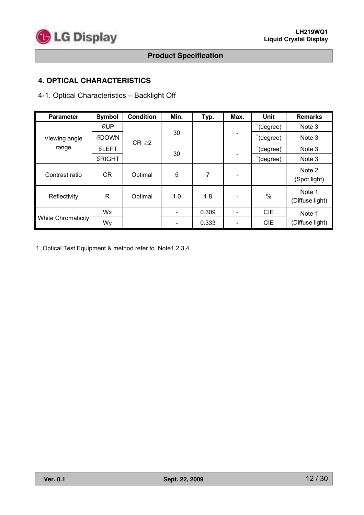

# **4. OPTICAL CHARACTERISTICS**

# 4-1. Optical Characteristics – Backlight Off

| <b>Parameter</b>          | Symbol        | <b>Condition</b> | Min. | Typ.  | Max.                     | Unit          | <b>Remarks</b>            |
|---------------------------|---------------|------------------|------|-------|--------------------------|---------------|---------------------------|
|                           | $\theta$ UP   |                  |      |       |                          | (degree)      | Note 3                    |
| Viewing angle             | <b>ODOWN</b>  | $CR \geq 2$      | 30   |       | $\overline{\phantom{a}}$ | (degree)      | Note 3                    |
| range                     | <b>OLEFT</b>  |                  |      |       |                          | (degree)      | Note 3                    |
|                           | <b>ORIGHT</b> |                  | 30   |       |                          | (degree)      | Note 3                    |
| Contrast ratio            | <b>CR</b>     | Optimal          | 5    | 7     |                          |               | Note 2<br>(Spot light)    |
| Reflectivity              | $\mathsf{R}$  | Optimal          | 1.0  | 1.8   |                          | $\frac{0}{0}$ | Note 1<br>(Diffuse light) |
|                           | Wx            |                  |      | 0.309 |                          | <b>CIE</b>    | Note 1                    |
| <b>White Chromaticity</b> | Wy            |                  |      | 0.333 |                          | <b>CIE</b>    | (Diffuse light)           |

1. Optical Test Equipment & method refer to Note1,2,3,4.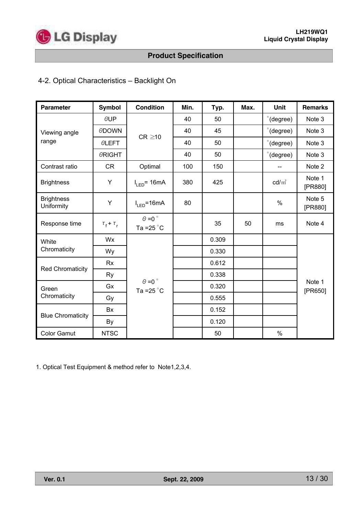

# 4-2. Optical Characteristics – Backlight On

| <b>Parameter</b>                | <b>Symbol</b>                   | <b>Condition</b>                              | Min. | Typ.  | Max. | Unit               | <b>Remarks</b>    |
|---------------------------------|---------------------------------|-----------------------------------------------|------|-------|------|--------------------|-------------------|
|                                 | $\theta$ UP                     |                                               | 40   | 50    |      | $\degree$ (degree) | Note 3            |
| Viewing angle                   | <b>ODOWN</b>                    | $CR \geq 10$                                  | 40   | 45    |      | $\degree$ (degree) | Note 3            |
| range                           | <b>OLEFT</b>                    |                                               | 40   | 50    |      | $\degree$ (degree) | Note 3            |
|                                 | <b>ORIGHT</b>                   |                                               | 40   | 50    |      | $\degree$ (degree) | Note 3            |
| Contrast ratio                  | <b>CR</b>                       | Optimal                                       | 100  | 150   |      |                    | Note 2            |
| <b>Brightness</b>               | Y                               | $I_{LED}$ = 16mA                              | 380  | 425   |      | $\text{cd/m}^2$    | Note 1<br>[PR880] |
| <b>Brightness</b><br>Uniformity | Υ                               | $I_{LED} = 16mA$                              | 80   |       |      | $\%$               | Note 5<br>[PR880] |
| Response time                   | $\tau_{\rm f}$ + $\tau_{\rm r}$ | $\theta$ =0 $^{\circ}$<br>Ta = $25^{\circ}$ C |      | 35    | 50   | ms                 | Note 4            |
| White                           | Wx                              |                                               |      | 0.309 |      |                    |                   |
| Chromaticity                    | Wy                              |                                               |      | 0.330 |      |                    |                   |
| <b>Red Chromaticity</b>         | <b>Rx</b>                       |                                               |      | 0.612 |      |                    |                   |
|                                 | Ry                              |                                               |      | 0.338 |      |                    |                   |
| Green                           | Gx                              | $\theta = 0$<br>Ta = $25^{\circ}$ C           |      | 0.320 |      |                    | Note 1<br>[PR650] |
| Chromaticity                    | Gy                              |                                               |      | 0.555 |      |                    |                   |
|                                 | Bx                              |                                               |      | 0.152 |      |                    |                   |
| <b>Blue Chromaticity</b>        | By                              |                                               |      | 0.120 |      |                    |                   |
| <b>Color Gamut</b>              | <b>NTSC</b>                     |                                               |      | 50    |      | $\%$               |                   |

1. Optical Test Equipment & method refer to Note1,2,3,4.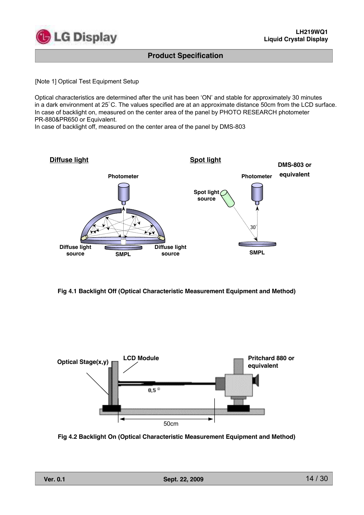

[Note 1] Optical Test Equipment Setup

Optical characteristics are determined after the unit has been 'ON' and stable for approximately 30 minutes in a dark environment at  $25^{\circ}$ C. The values specified are at an approximate distance 50cm from the LCD surface. In case of backlight on, measured on the center area of the panel by PHOTO RESEARCH photometer PR-880&PR650 or Equivalent.

In case of backlight off, measured on the center area of the panel by DMS-803



**Fig 4.1 Backlight Off (Optical Characteristic Measurement Equipment and Method)**



**Fig 4.2 Backlight On (Optical Characteristic Measurement Equipment and Method)**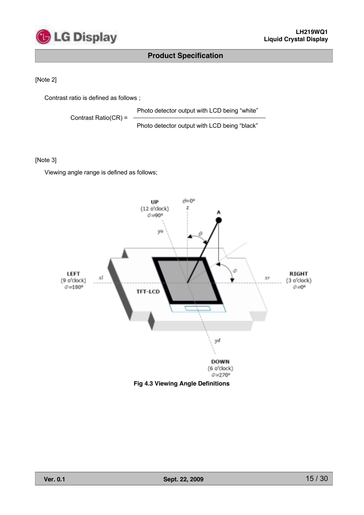

#### [Note 2]

Contrast ratio is defined as follows ;

Photo detector output with LCD being "white"

Contrast Ratio(CR) =

Photo detector output with LCD being "black"

#### [Note 3]

Viewing angle range is defined as follows;

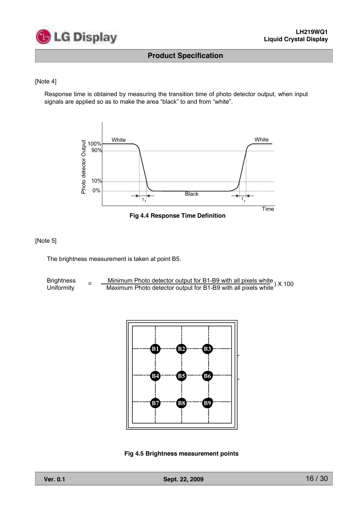

#### [Note 4]

Response time is obtained by measuring the transition time of photo detector output, when input signals are applied so as to make the area "black" to and from "white".





[Note 5]

The brightness measurement is taken at point B5.

Brightness <sub>=</sub> <u>Minimum Photo detector output for B1-B9 with all pixels white</u> ) X 100<br>Uniformity = Maximum Photo detector output for B1-B9 with all pixels white ) X 100



**Fig 4.5 Brightness measurement points**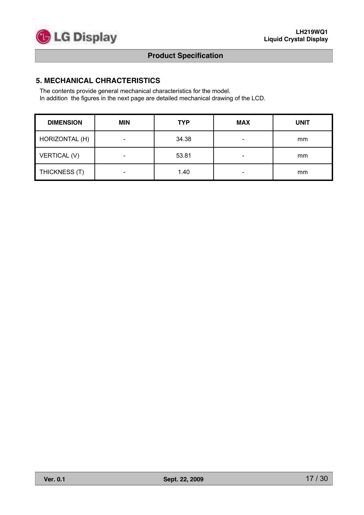

### **5. MECHANICAL CHRACTERISTICS**

The contents provide general mechanical characteristics for the model. In addition the figures in the next page are detailed mechanical drawing of the LCD.

| <b>DIMENSION</b> | <b>MIN</b>                   | <b>TYP</b> | <b>MAX</b>               | <b>UNIT</b> |
|------------------|------------------------------|------------|--------------------------|-------------|
| HORIZONTAL (H)   | $\overline{\phantom{a}}$     | 34.38      | $\overline{\phantom{a}}$ | mm          |
| VERTICAL (V)     | $\qquad \qquad \blacksquare$ | 53.81      | $\overline{\phantom{0}}$ | mm          |
| THICKNESS (T)    | $\overline{\phantom{a}}$     | 1.40       | $\overline{\phantom{a}}$ | mm          |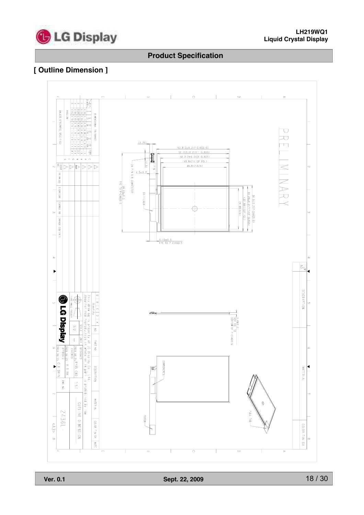

# **[ Outline Dimension ]**

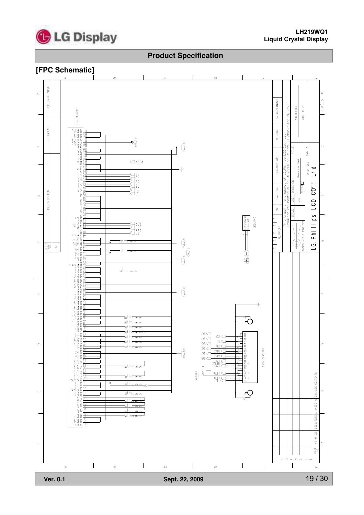

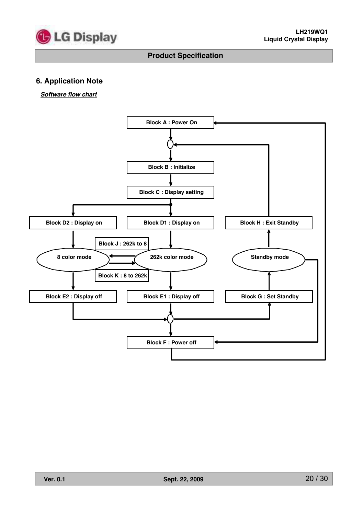

# **6. Application Note**

#### *Software flow chart*

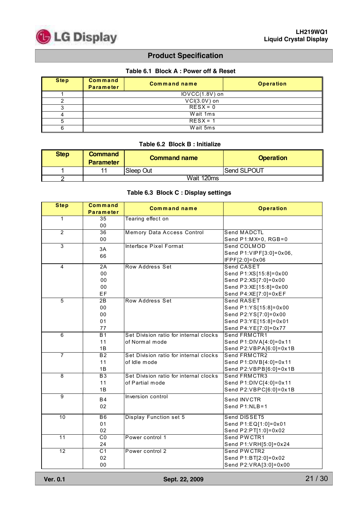

#### **Table 6.1 Block A : Power off & Reset**

| <b>Step</b> | Command<br><b>Parameter</b> | <b>Command name</b> | <b>Operation</b> |  |
|-------------|-----------------------------|---------------------|------------------|--|
|             |                             | $IOVCC(1.8V)$ on    |                  |  |
|             |                             | $VCI(3.0V)$ on      |                  |  |
|             |                             | $RESX = 0$          |                  |  |
|             | Wait 1ms                    |                     |                  |  |
|             | $RESX = 1$                  |                     |                  |  |
|             |                             | Wait 5ms            |                  |  |

#### **Table 6.2 Block B : Initialize**

| <b>Step</b> | <b>Command</b><br><b>Parameter</b> | <b>Command name</b> | <b>Operation</b> |  |
|-------------|------------------------------------|---------------------|------------------|--|
|             | 11                                 | Sleep Out           | Send SLPOUT      |  |
|             |                                    | Wait 120ms          |                  |  |

#### **Table 6.3 Block C : Display settings**

| <b>Step</b>     | Command<br>Parameter | <b>Command name</b>                    | <b>Operation</b>         |
|-----------------|----------------------|----------------------------------------|--------------------------|
| $\overline{1}$  | 35                   | Tearing effect on                      |                          |
|                 | 00                   |                                        |                          |
| $\overline{2}$  | 36                   | Memory Data Access Control             | Send MADCTL              |
|                 | 00                   |                                        | Send P1:MX=0, RGB=0      |
| 3               | 3A                   | Interface Pixel Format                 | Send COLMOD              |
|                 | 66                   |                                        | Send P1: VIPF[3:0]=0x06, |
|                 |                      |                                        | IFPF[2:0]=0x06           |
| $\overline{4}$  | 2A                   | Row Address Set                        | Send CASET               |
|                 | 00                   |                                        | Send P1:XS[15:8]=0x00    |
|                 | 00                   |                                        | Send P2:XS[7:0]=0x00     |
|                 | 00                   |                                        | Send P3:XE[15:8]=0x00    |
|                 | EF                   |                                        | Send P4:XE[7:0]=0xEF     |
| $\overline{5}$  | $\overline{2B}$      | Row Address Set                        | <b>Send RASET</b>        |
|                 | 00                   |                                        | Send P1:YS[15:8]=0x00    |
|                 | 00                   |                                        | Send P2:YS[7:0]=0x00     |
|                 | 01                   |                                        | Send P3:YE[15:8]=0x01    |
|                 | 77                   |                                        | Send P4:YE[7:0]=0x77     |
| $\,6\,$         | B <sub>1</sub>       | Set Division ratio for internal clocks | Send FRMCTR1             |
|                 | 11                   | of Normal mode                         | Send P1:DIVA[4:0]=0x11   |
|                 | 1B                   |                                        | Send P2:VBPA[6:0]=0x1B   |
| 7               | $\overline{B2}$      | Set Division ratio for internal clocks | Send FRMCTR2             |
|                 | 11                   | of Idle mode                           | Send P1:DIVB[4:0]=0x11   |
|                 | 1B                   |                                        | Send P2:VBPB[6:0]=0x1B   |
| $\overline{8}$  | <b>B3</b>            | Set Division ratio for internal clocks | Send FRMCTR3             |
|                 | 11                   | of Partial mode                        | Send P1:DIVC[4:0]=0x11   |
|                 | 1B                   |                                        | Send P2:VBPC[6:0]=0x1B   |
| 9               | <b>B4</b>            | Inversion control                      | Send INVCTR              |
|                 | 02                   |                                        | Send P1:NLB=1            |
|                 |                      |                                        |                          |
| 10              | B <sub>6</sub>       | Display Function set 5                 | Send DISSET5             |
|                 | 01                   |                                        | Send P1:EQ[1:0]=0x01     |
|                 | 02                   |                                        | Send P2:PT[1:0]=0x02     |
| $\overline{11}$ | $\overline{C}$       | Power control 1                        | Send PWCTR1              |
|                 | 24                   |                                        | Send P1:VRH[5:0]=0x24    |
| $\overline{12}$ | $\overline{C1}$      | Power control 2                        | Send PWCTR2              |
|                 | 02                   |                                        | Send P1:BT[2:0]=0x02     |
|                 | 00                   |                                        | Send P2:VRA[3:0]=0x00    |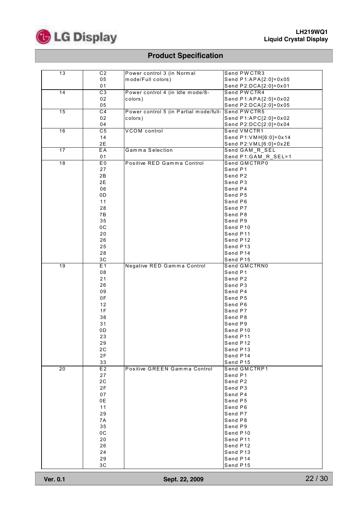

| 13              | C <sub>2</sub>  | Power control 3 (in Normal             | Send PWCTR3            |
|-----------------|-----------------|----------------------------------------|------------------------|
|                 | 05              | mode/Full colors)                      | Send P1:APA[2:0]=0x05  |
|                 | 01              |                                        | Send P2:DCA[2:0]=0x01  |
| 14              | $\overline{C3}$ | Power control 4 (in Idle mode/8-       | Send PWCTR4            |
|                 |                 |                                        |                        |
|                 | 02              | colors)                                | Send P1:APA[2:0]=0x02  |
|                 | 05              |                                        | Send P2:DCA[2:0]=0x05  |
| 15              | $\overline{C4}$ | Power control 5 (in Partial mode/full- | Send PWCTR5            |
|                 | 02              | colors)                                | Send P1:APC[2:0]=0x02  |
|                 | 04              |                                        | Send P2:DCC[2:0]=0x04  |
| 16              | $\overline{C5}$ | <b>VCOM</b> control                    | Send VMCTR1            |
|                 | 14              |                                        | Send P1: VMH[6:0]=0x14 |
|                 | 2E              |                                        | Send P2:VML[6:0]=0x2E  |
| 17              | EA              | Gamma Selection                        |                        |
|                 |                 |                                        | Send GAM_R_SEL         |
|                 | 01              |                                        | Send P1:GAM_R_SEL=1    |
| $\overline{18}$ | E <sub>0</sub>  | Positive RED Gamma Control             | Send GMCTRP0           |
|                 | 27              |                                        | Send P1                |
|                 | 2B              |                                        | Send P2                |
|                 | 2E              |                                        | Send P3                |
|                 | 06              |                                        | Send P4                |
|                 | 0D              |                                        | Send P5                |
|                 | 11              |                                        | Send P6                |
|                 | 28              |                                        | Send P7                |
|                 |                 |                                        |                        |
|                 | 7B              |                                        | Send P8                |
|                 | 35              |                                        | Send P9                |
|                 | 0C              |                                        | Send P10               |
|                 | 20              |                                        | Send P11               |
|                 | 26              |                                        | Send P12               |
|                 | 25              |                                        | Send P13               |
|                 | 28              |                                        | Send P14               |
|                 | 3C              |                                        | Send P15               |
| 19              | E1              | Negative RED Gamma Control             | Send GMCTRN0           |
|                 | 08              |                                        | Send P1                |
|                 | 21              |                                        | Send P2                |
|                 | 26              |                                        | Send P3                |
|                 | 09              |                                        | Send P4                |
|                 |                 |                                        |                        |
|                 | 0F              |                                        | Send P5                |
|                 | 12              |                                        | Send P6                |
|                 | 1F              |                                        | Send P7                |
|                 | 38              |                                        | Send P8                |
|                 | 31              |                                        | Send P9                |
|                 | 0D              |                                        | Send P10               |
|                 | 23              |                                        | Send P11               |
|                 | 29              |                                        | Send P12               |
|                 | 2C              |                                        | Send P13               |
|                 | 2F              |                                        | Send P14               |
|                 |                 |                                        |                        |
|                 | 33              |                                        | Send P15               |
| $\overline{20}$ | E2              | Positive GREEN Gamma Control           | Send GMCTRP1           |
|                 | 27              |                                        | Send P1                |
|                 | 2C              |                                        | Send P2                |
|                 | 2F              |                                        | Send P3                |
|                 | 07              |                                        | Send P4                |
|                 | 0E              |                                        | Send P5                |
|                 | 11              |                                        | Send P6                |
|                 | 29              |                                        | Send P7                |
|                 | 7A              |                                        | Send P8                |
|                 | 35              |                                        | Send P9                |
|                 |                 |                                        |                        |
|                 | 0C              |                                        | Send P10               |
|                 | 20              |                                        | Send P11               |
|                 | 26              |                                        | Send P12               |
|                 | 24              |                                        | Send P13               |
|                 | 29              |                                        | Send P14               |
|                 | 3C              |                                        | Send P15               |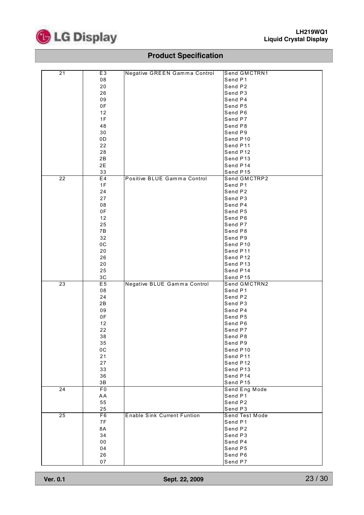

| 21              | E <sub>3</sub> | Negative GREEN Gamma Control       | Send GMCTRN1       |
|-----------------|----------------|------------------------------------|--------------------|
|                 | 08             |                                    | Send P1            |
|                 | 20             |                                    | Send P2            |
|                 | 26             |                                    | Send P3            |
|                 | 09             |                                    | Send P4            |
|                 |                |                                    |                    |
|                 | 0F             |                                    | Send P5            |
|                 | 12             |                                    | Send P6            |
|                 | 1F             |                                    | Send P7            |
|                 | 48             |                                    | Send P8            |
|                 | 30             |                                    | Send P9            |
|                 |                |                                    |                    |
|                 | 0D             |                                    | Send P10           |
|                 | 22             |                                    | Send P11           |
|                 | 28             |                                    | Send P12           |
|                 | 2B             |                                    | Send P13           |
|                 | 2E             |                                    | Send P14           |
|                 |                |                                    |                    |
|                 | 33             |                                    | Send P15           |
| $\overline{22}$ | E4             | Positive BLUE Gamma Control        | Send GMCTRP2       |
|                 | 1F             |                                    | Send P1            |
|                 | 24             |                                    | Send P2            |
|                 |                |                                    |                    |
|                 | 27             |                                    | Send P3            |
|                 | 08             |                                    | Send P4            |
|                 | 0F             |                                    | Send P5            |
|                 | 12             |                                    | Send P6            |
|                 | 25             |                                    | Send P7            |
|                 |                |                                    |                    |
|                 | 7B             |                                    | Send P8            |
|                 | 32             |                                    | Send P9            |
|                 | 0C             |                                    | Send P10           |
|                 | 20             |                                    | Send P11           |
|                 | 26             |                                    | Send P12           |
|                 |                |                                    |                    |
|                 | 20             |                                    | Send P13           |
|                 | 25             |                                    | Send P14           |
|                 |                |                                    |                    |
|                 | 3C             |                                    | Send P15           |
|                 |                |                                    |                    |
| 23              | E5             | Negative BLUE Gamma Control        | Send GMCTRN2       |
|                 | 08             |                                    | Send P1            |
|                 | 24             |                                    | Send P2            |
|                 | 2B             |                                    | Send P3            |
|                 | 09             |                                    | Send P4            |
|                 | 0F             |                                    |                    |
|                 |                |                                    | Send P5            |
|                 | 12             |                                    | Send P6            |
|                 | 22             |                                    | Send P7            |
|                 | 38             |                                    | Send P8            |
|                 | 35             |                                    | Send P9            |
|                 | 0C             |                                    |                    |
|                 |                |                                    | Send P10           |
|                 | 21             |                                    | Send P11           |
|                 | 27             |                                    | Send P12           |
|                 | 33             |                                    | Send P13           |
|                 | 36             |                                    | Send P14           |
|                 |                |                                    |                    |
|                 | 3B             |                                    | Send P15           |
| $\overline{24}$ | F <sub>0</sub> |                                    | Send Eng Mode      |
|                 | AA             |                                    | Send P1            |
|                 | 55             |                                    | Send P2            |
|                 | 25             |                                    | Send P3            |
| 25              | F6             | <b>Enable Sink Current Funtion</b> | Send Test Mode     |
|                 |                |                                    |                    |
|                 | 7F             |                                    | Send P1            |
|                 | 8A             |                                    | Send P2            |
|                 | 34             |                                    | Send P3            |
|                 | ${\bf 00}$     |                                    | Send P4            |
|                 | 04             |                                    | Send P5            |
|                 |                |                                    |                    |
|                 | 26<br>07       |                                    | Send P6<br>Send P7 |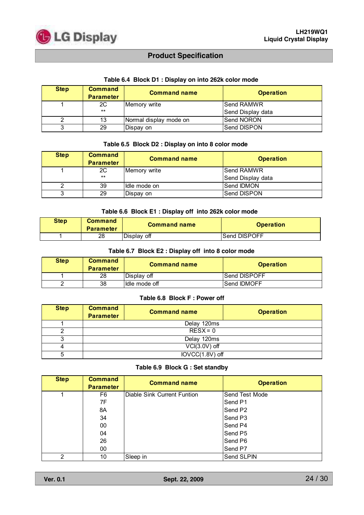

| <b>Step</b> | <b>Command</b><br><b>Parameter</b> | <b>Command name</b>    | <b>Operation</b>  |
|-------------|------------------------------------|------------------------|-------------------|
|             | 2C                                 | Memory write           | lSend RAMWR       |
|             | $***$                              |                        | Send Display data |
|             | 13                                 | Normal display mode on | <b>Send NORON</b> |
|             | 29                                 | Dispay on              | lSend DISPON      |

#### **Table 6.4 Block D1 : Display on into 262k color mode**

#### **Table 6.5 Block D2 : Display on into 8 color mode**

| <b>Step</b> | <b>Command</b><br><b>Parameter</b> | <b>Command name</b> | <b>Operation</b>  |
|-------------|------------------------------------|---------------------|-------------------|
|             | 2C                                 | Memory write        | lSend RAMWR       |
|             | $***$                              |                     | Send Display data |
|             | 39                                 | Idle mode on        | <b>Send IDMON</b> |
|             | 29                                 | Dispay on           | lSend DISPON      |

#### **Table 6.6 Block E1 : Display off into 262k color mode**

| <b>Step</b> | Command<br><b>Parameter</b> | <b>Command name</b> | <b>Operation</b> |
|-------------|-----------------------------|---------------------|------------------|
|             | 28                          | IDisplav off        | Send DISPOFF     |

#### **Table 6.7 Block E2 : Display off into 8 color mode**

| <b>Step</b> | <b>Command</b><br><b>Parameter</b> | <b>Command name</b> | <b>Operation</b>    |
|-------------|------------------------------------|---------------------|---------------------|
|             | 28                                 | Displav off         | <b>Send DISPOFF</b> |
|             | 38                                 | Idle mode off       | <b>Send IDMOFF</b>  |

#### **Table 6.8 Block F : Power off**

| <b>Step</b> | <b>Command</b><br><b>Parameter</b> | <b>Command name</b> | <b>Operation</b> |
|-------------|------------------------------------|---------------------|------------------|
|             | Delay 120ms                        |                     |                  |
|             | $RESX = 0$                         |                     |                  |
|             | Delay 120ms                        |                     |                  |
|             | $VCI(3.0V)$ off                    |                     |                  |
| 5           | IOVCC(1.8V) off                    |                     |                  |

#### **Table 6.9 Block G : Set standby**

| <b>Step</b> | <b>Command</b><br><b>Parameter</b> | <b>Command name</b>         | <b>Operation</b>    |
|-------------|------------------------------------|-----------------------------|---------------------|
|             | F6                                 | Diable Sink Current Funtion | Send Test Mode      |
|             | 7F                                 |                             | Send P1             |
|             | 8A                                 |                             | Send P <sub>2</sub> |
|             | 34                                 |                             | Send P <sub>3</sub> |
|             | 00                                 |                             | Send P4             |
|             | 04                                 |                             | Send P5             |
|             | 26                                 |                             | Send P6             |
|             | 00                                 |                             | Send P7             |
| 2           | 10                                 | Sleep in                    | Send SLPIN          |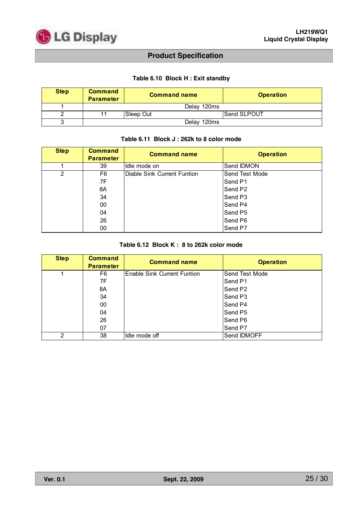

#### **Table 6.10 Block H : Exit standby**

| <b>Step</b> | <b>Command</b><br><b>Parameter</b> | <b>Command name</b> | <b>Operation</b>   |
|-------------|------------------------------------|---------------------|--------------------|
|             |                                    | Delay 120ms         |                    |
|             | 11                                 | Sleep Out           | <b>Send SLPOUT</b> |
|             | Delay 120ms                        |                     |                    |

#### **Table 6.11 Block J : 262k to 8 color mode**

| <b>Step</b> | <b>Command</b><br><b>Parameter</b> | <b>Command name</b>         | <b>Operation</b>    |
|-------------|------------------------------------|-----------------------------|---------------------|
|             | 39                                 | Idle mode on                | Send IDMON          |
| 2           | F6                                 | Diable Sink Current Funtion | Send Test Mode      |
|             | 7F                                 |                             | Send P1             |
|             | 8A                                 |                             | Send P <sub>2</sub> |
|             | 34                                 |                             | Send P3             |
|             | 00                                 |                             | Send P4             |
|             | 04                                 |                             | Send P <sub>5</sub> |
|             | 26                                 |                             | Send P6             |
|             | 00                                 |                             | Send P7             |

#### **Table 6.12 Block K : 8 to 262k color mode**

| <b>Step</b> | <b>Command</b><br><b>Parameter</b> | <b>Command name</b>                | <b>Operation</b>    |
|-------------|------------------------------------|------------------------------------|---------------------|
|             | F6                                 | <b>Enable Sink Current Funtion</b> | Send Test Mode      |
|             | 7F                                 |                                    | Send P1             |
|             | 8A                                 |                                    | Send P <sub>2</sub> |
|             | 34                                 |                                    | Send P <sub>3</sub> |
|             | 00                                 |                                    | Send P4             |
|             | 04                                 |                                    | Send P <sub>5</sub> |
|             | 26                                 |                                    | Send P6             |
|             | 07                                 |                                    | Send P7             |
| 2           | 38                                 | Idle mode off                      | Send IDMOFF         |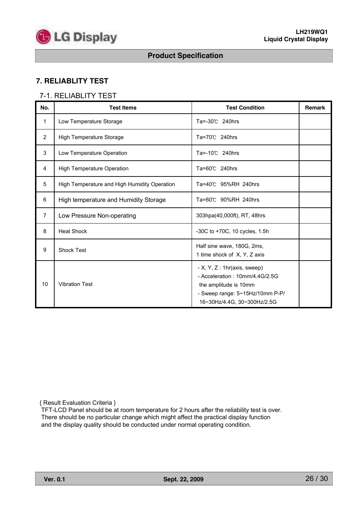

# **7. RELIABLITY TEST**

### 7-1. RELIABLITY TEST

| No.            | <b>Test Items</b>                            | <b>Test Condition</b>                                                                                                                                      | <b>Remark</b> |
|----------------|----------------------------------------------|------------------------------------------------------------------------------------------------------------------------------------------------------------|---------------|
| $\mathbf{1}$   | Low Temperature Storage                      | Ta=-30℃ 240hrs                                                                                                                                             |               |
| 2              | High Temperature Storage                     | Ta=70℃ 240hrs                                                                                                                                              |               |
| 3              | Low Temperature Operation                    | Ta=-10℃ 240hrs                                                                                                                                             |               |
| 4              | <b>High Temperature Operation</b>            | Ta=60℃ 240hrs                                                                                                                                              |               |
| 5              | High Temperature and High Humidity Operation | Ta=40℃ 95%RH 240hrs                                                                                                                                        |               |
| 6              | High temperature and Humidity Storage        | Ta=60℃ 90%RH 240hrs                                                                                                                                        |               |
| $\overline{7}$ | Low Pressure Non-operating                   | 303hpa(40,000ft), RT, 48hrs                                                                                                                                |               |
| 8              | <b>Heat Shock</b>                            | -30C to +70C, 10 cycles, 1.5h                                                                                                                              |               |
| 9              | <b>Shock Test</b>                            | Half sine wave, 180G, 2ms,<br>1 time shock of X, Y, Z axis                                                                                                 |               |
| 10             | <b>Vibration Test</b>                        | $- X, Y, Z: 1hr(axis, sweep)$<br>- Acceleration: 10mm/4.4G/2.5G<br>the amplitude is 10mm<br>- Sweep range: 5~15Hz/10mm P-P/<br>16~30Hz/4.4G, 30~300Hz/2.5G |               |

{ Result Evaluation Criteria }

TFT-LCD Panel should be at room temperature for 2 hours after the reliability test is over. There should be no particular change which might affect the practical display function and the display quality should be conducted under normal operating condition.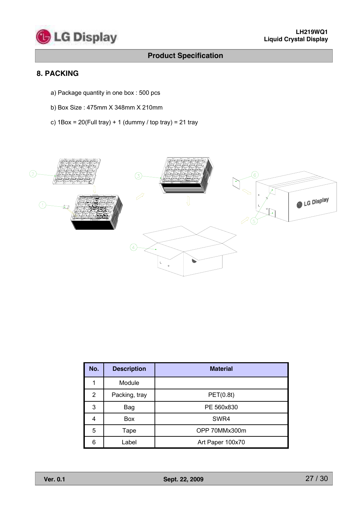

# **8. PACKING**

- a) Package quantity in one box : 500 pcs
- b) Box Size : 475mm X 348mm X 210mm
- c)  $1Box = 20$ (Full tray) + 1 (dummy / top tray) = 21 tray



| No. | <b>Description</b> | <b>Material</b>  |
|-----|--------------------|------------------|
|     | Module             |                  |
| 2   | Packing, tray      | PET(0.8t)        |
| 3   | Bag                | PE 560x830       |
| 4   | <b>Box</b>         | SWR4             |
| 5   | Tape               | OPP 70MMx300m    |
| 6   | .abel              | Art Paper 100x70 |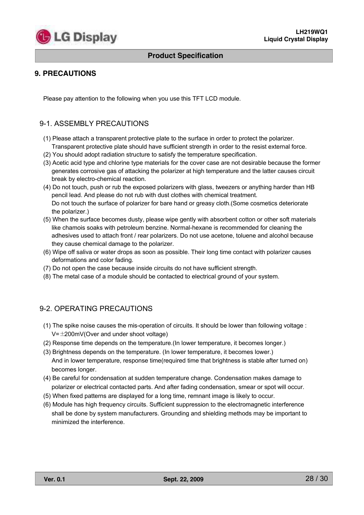

# **9. PRECAUTIONS**

Please pay attention to the following when you use this TFT LCD module.

# 9-1. ASSEMBLY PRECAUTIONS

- (1) Please attach a transparent protective plate to the surface in order to protect the polarizer. Transparent protective plate should have sufficient strength in order to the resist external force.
- (2) You should adopt radiation structure to satisfy the temperature specification.
- (3) Acetic acid type and chlorine type materials for the cover case are not desirable because the former generates corrosive gas of attacking the polarizer at high temperature and the latter causes circuit break by electro-chemical reaction.
- (4) Do not touch, push or rub the exposed polarizers with glass, tweezers or anything harder than HB pencil lead. And please do not rub with dust clothes with chemical treatment. Do not touch the surface of polarizer for bare hand or greasy cloth.(Some cosmetics deteriorate the polarizer.)
- (5) When the surface becomes dusty, please wipe gently with absorbent cotton or other soft materials like chamois soaks with petroleum benzine. Normal-hexane is recommended for cleaning the adhesives used to attach front / rear polarizers. Do not use acetone, toluene and alcohol because they cause chemical damage to the polarizer.
- (6) Wipe off saliva or water drops as soon as possible. Their long time contact with polarizer causes deformations and color fading.
- (7) Do not open the case because inside circuits do not have sufficient strength.
- (8) The metal case of a module should be contacted to electrical ground of your system.

### 9-2. OPERATING PRECAUTIONS

- (1) The spike noise causes the mis-operation of circuits. It should be lower than following voltage :  $V=\pm200$ mV(Over and under shoot voltage)
- (2) Response time depends on the temperature.(In lower temperature, it becomes longer.)
- (3) Brightness depends on the temperature. (In lower temperature, it becomes lower.) And in lower temperature, response time(required time that brightness is stable after turned on) becomes longer.
- (4) Be careful for condensation at sudden temperature change. Condensation makes damage to polarizer or electrical contacted parts. And after fading condensation, smear or spot will occur.
- (5) When fixed patterns are displayed for a long time, remnant image is likely to occur.
- (6) Module has high frequency circuits. Sufficient suppression to the electromagnetic interference shall be done by system manufacturers. Grounding and shielding methods may be important to minimized the interference.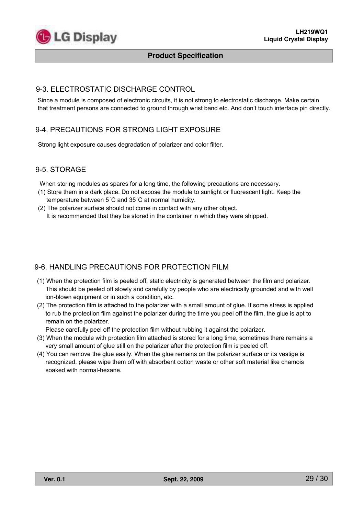

#### 9-3. ELECTROSTATIC DISCHARGE CONTROL

Since a module is composed of electronic circuits, it is not strong to electrostatic discharge. Make certain that treatment persons are connected to ground through wrist band etc. And don't touch interface pin directly.

### 9-4. PRECAUTIONS FOR STRONG LIGHT EXPOSURE

Strong light exposure causes degradation of polarizer and color filter.

#### 9-5. STORAGE

When storing modules as spares for a long time, the following precautions are necessary.

- (1) Store them in a dark place. Do not expose the module to sunlight or fluorescent light. Keep the temperature between  $5^{\circ}$ C and  $35^{\circ}$ C at normal humidity.
- (2) The polarizer surface should not come in contact with any other object. It is recommended that they be stored in the container in which they were shipped.

### 9-6. HANDLING PRECAUTIONS FOR PROTECTION FILM

- (1) When the protection film is peeled off, static electricity is generated between the film and polarizer. This should be peeled off slowly and carefully by people who are electrically grounded and with well ion-blown equipment or in such a condition, etc.
- (2) The protection film is attached to the polarizer with a small amount of glue. If some stress is applied to rub the protection film against the polarizer during the time you peel off the film, the glue is apt to remain on the polarizer.

Please carefully peel off the protection film without rubbing it against the polarizer.

- (3) When the module with protection film attached is stored for a long time, sometimes there remains a very small amount of glue still on the polarizer after the protection film is peeled off.
- (4) You can remove the glue easily. When the glue remains on the polarizer surface or its vestige is recognized, please wipe them off with absorbent cotton waste or other soft material like chamois soaked with normal-hexane.